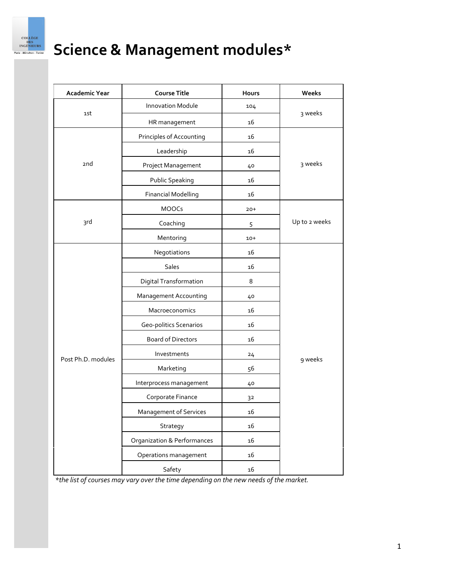

# **Science & Management modules\***

| Academic Year      | <b>Course Title</b>                    | Hours | Weeks         |
|--------------------|----------------------------------------|-------|---------------|
| 1st                | <b>Innovation Module</b>               | 104   | 3 weeks       |
|                    | HR management                          | 16    |               |
| 2nd                | Principles of Accounting               | 16    | 3 weeks       |
|                    | Leadership                             | 16    |               |
|                    | Project Management                     | 40    |               |
|                    | Public Speaking                        | 16    |               |
|                    | <b>Financial Modelling</b>             | 16    |               |
| 3rd                | <b>MOOCs</b>                           | $20+$ | Up to 2 weeks |
|                    | Coaching                               | 5     |               |
|                    | Mentoring                              | $10+$ |               |
| Post Ph.D. modules | Negotiations                           | 16    | 9 weeks       |
|                    | Sales                                  | 16    |               |
|                    | Digital Transformation                 | 8     |               |
|                    | Management Accounting                  | 40    |               |
|                    | Macroeconomics                         | 16    |               |
|                    | Geo-politics Scenarios                 | 16    |               |
|                    | <b>Board of Directors</b>              | 16    |               |
|                    | Investments                            | 24    |               |
|                    | Marketing                              | 56    |               |
|                    | Interprocess management                | 40    |               |
|                    | Corporate Finance                      | 32    |               |
|                    | Management of Services                 | 16    |               |
|                    | Strategy                               | 16    |               |
|                    | <b>Organization &amp; Performances</b> | 16    |               |
|                    | Operations management                  | 16    |               |
|                    | Safety                                 | 16    |               |

*\*the list of courses may vary over the time depending on the new needs of the market.*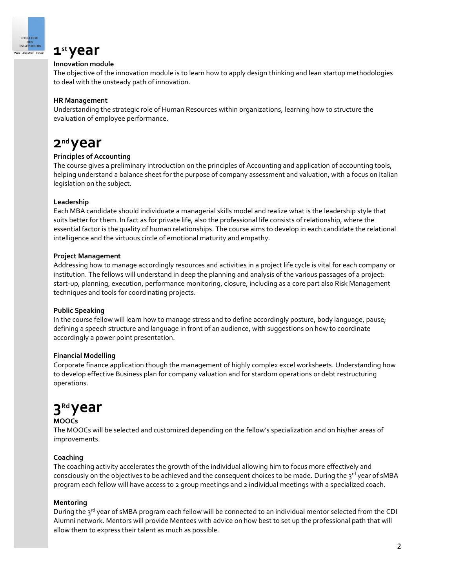

### **1st year**

#### **Innovation module**

The objective of the innovation module is to learn how to apply design thinking and lean startup methodologies to deal with the unsteady path of innovation.

#### **HR Management**

Understanding the strategic role of Human Resources within organizations, learning how to structure the evaluation of employee performance.

### **2nd year**

#### **Principles of Accounting**

The course gives a preliminary introduction on the principles of Accounting and application of accounting tools, helping understand a balance sheet for the purpose of company assessment and valuation, with a focus on Italian legislation on the subject.

#### **Leadership**

Each MBA candidate should individuate a managerial skills model and realize what is the leadership style that suits better for them. In fact as for private life, also the professional life consists of relationship, where the essential factor is the quality of human relationships. The course aims to develop in each candidate the relational intelligence and the virtuous circle of emotional maturity and empathy.

#### **Project Management**

Addressing how to manage accordingly resources and activities in a project life cycle is vital for each company or institution. The fellows will understand in deep the planning and analysis of the various passages of a project: start-up, planning, execution, performance monitoring, closure, including as a core part also Risk Management techniques and tools for coordinating projects.

#### **Public Speaking**

In the course fellow will learn how to manage stress and to define accordingly posture, body language, pause; defining a speech structure and language in front of an audience, with suggestions on how to coordinate accordingly a power point presentation.

#### **Financial Modelling**

Corporate finance application though the management of highly complex excel worksheets. Understanding how to develop effective Business plan for company valuation and for stardom operations or debt restructuring operations.

## **3Rd year**

#### **MOOCs**

The MOOCs will be selected and customized depending on the fellow's specialization and on his/her areas of improvements.

#### **Coaching**

The coaching activity accelerates the growth of the individual allowing him to focus more effectively and consciously on the objectives to be achieved and the consequent choices to be made. During the 3<sup>rd</sup> year of sMBA program each fellow will have access to 2 group meetings and 2 individual meetings with a specialized coach.

#### **Mentoring**

During the 3<sup>rd</sup> year of sMBA program each fellow will be connected to an individual mentor selected from the CDI Alumni network. Mentors will provide Mentees with advice on how best to set up the professional path that will allow them to express their talent as much as possible.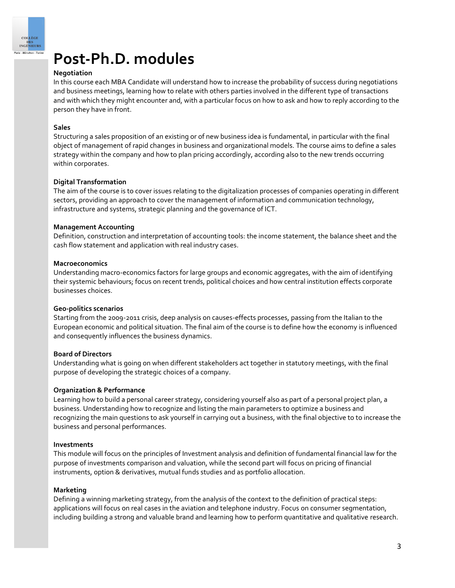

## **Post-Ph.D. modules**

#### **Negotiation**

In this course each MBA Candidate will understand how to increase the probability of success during negotiations and business meetings, learning how to relate with others parties involved in the different type of transactions and with which they might encounter and, with a particular focus on how to ask and how to reply according to the person they have in front.

#### **Sales**

Structuring a sales proposition of an existing or of new business idea is fundamental, in particular with the final object of management of rapid changes in business and organizational models. The course aims to define a sales strategy within the company and how to plan pricing accordingly, according also to the new trends occurring within corporates.

#### **Digital Transformation**

The aim of the course is to cover issues relating to the digitalization processes of companies operating in different sectors, providing an approach to cover the management of information and communication technology, infrastructure and systems, strategic planning and the governance of ICT.

#### **Management Accounting**

Definition, construction and interpretation of accounting tools: the income statement, the balance sheet and the cash flow statement and application with real industry cases.

#### **Macroeconomics**

Understanding macro-economics factors for large groups and economic aggregates, with the aim of identifying their systemic behaviours; focus on recent trends, political choices and how central institution effects corporate businesses choices.

#### **Geo-politics scenarios**

Starting from the 2009-2011 crisis, deep analysis on causes-effects processes, passing from the Italian to the European economic and political situation. The final aim of the course is to define how the economy is influenced and consequently influences the business dynamics.

#### **Board of Directors**

Understanding what is going on when different stakeholders act together in statutory meetings, with the final purpose of developing the strategic choices of a company.

#### **Organization & Performance**

Learning how to build a personal career strategy, considering yourself also as part of a personal project plan, a business. Understanding how to recognize and listing the main parameters to optimize a business and recognizing the main questions to ask yourself in carrying out a business, with the final objective to to increase the business and personal performances.

#### **Investments**

This module will focus on the principles of Investment analysis and definition of fundamental financial law for the purpose of investments comparison and valuation, while the second part will focus on pricing of financial instruments, option & derivatives, mutual funds studies and as portfolio allocation.

#### **Marketing**

Defining a winning marketing strategy, from the analysis of the context to the definition of practical steps: applications will focus on real cases in the aviation and telephone industry. Focus on consumer segmentation, including building a strong and valuable brand and learning how to perform quantitative and qualitative research.